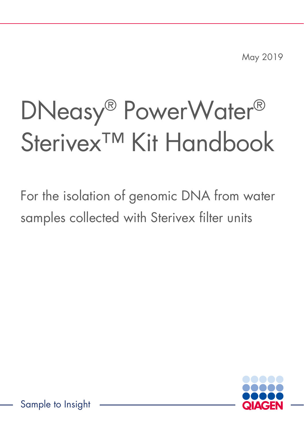May 2019

# DNeasy® PowerWater® Sterivex<sup>™</sup> Kit Handbook

For the isolation of genomic DNA from water samples collected with Sterivex filter units



Sample to Insight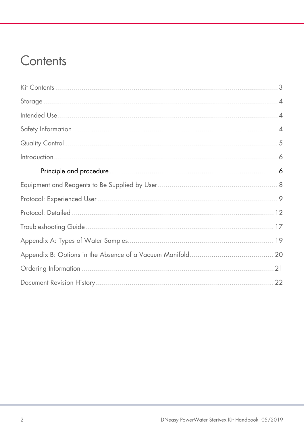### Contents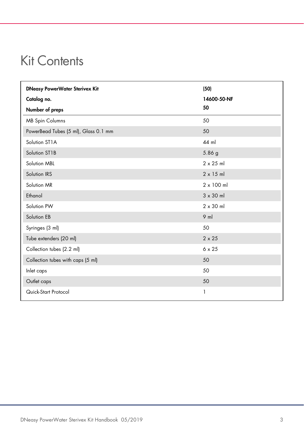### <span id="page-2-0"></span>Kit Contents

| <b>DNeasy PowerWater Sterivex Kit</b> | (50)              |
|---------------------------------------|-------------------|
| Catalog no.                           | 14600-50-NF       |
| Number of preps                       | 50                |
| <b>MB Spin Columns</b>                | 50                |
| PowerBead Tubes (5 ml), Glass 0.1 mm  | 50                |
| Solution ST1A                         | 44 ml             |
| Solution ST1B                         | 5.86 g            |
| Solution MBL                          | $2 \times 25$ ml  |
| Solution IRS                          | $2 \times 15$ ml  |
| Solution MR                           | $2 \times 100$ ml |
| Ethanol                               | $3 \times 30$ ml  |
| Solution PW                           | $2 \times 30$ ml  |
| Solution EB                           | $9$ ml            |
| Syringes (3 ml)                       | 50                |
| Tube extenders (20 ml)                | $2 \times 25$     |
| Collection tubes (2.2 ml)             | $6 \times 25$     |
| Collection tubes with caps (5 ml)     | 50                |
| Inlet caps                            | 50                |
| Outlet caps                           | 50                |
| Quick-Start Protocol                  | 1                 |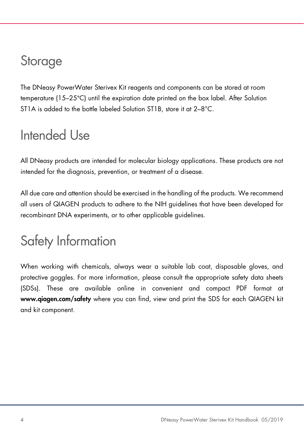### <span id="page-3-0"></span>**Storage**

The DNeasy PowerWater Sterivex Kit reagents and components can be stored at room temperature (15–25°C) until the expiration date printed on the box label. After Solution ST1A is added to the bottle labeled Solution ST1B, store it at 2-8°C.

### <span id="page-3-1"></span>Intended Use

All DNeasy products are intended for molecular biology applications. These products are not intended for the diagnosis, prevention, or treatment of a disease.

All due care and attention should be exercised in the handling of the products. We recommend all users of QIAGEN products to adhere to the NIH guidelines that have been developed for recombinant DNA experiments, or to other applicable guidelines.

# <span id="page-3-2"></span>Safety Information

When working with chemicals, always wear a suitable lab coat, disposable gloves, and protective goggles. For more information, please consult the appropriate safety data sheets (SDSs). These are available online in convenient and compact PDF format at www.qiagen.com/safety where you can find, view and print the SDS for each QIAGEN kit and kit component.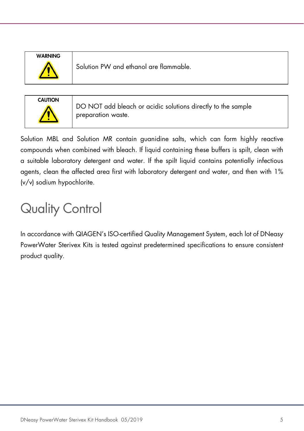| <b>WARNING</b> |  |
|----------------|--|
|                |  |
|                |  |

Solution PW and ethanol are flammable.



DO NOT add bleach or acidic solutions directly to the sample preparation waste.

Solution MBL and Solution MR contain guanidine salts, which can form highly reactive compounds when combined with bleach. If liquid containing these buffers is spilt, clean with a suitable laboratory detergent and water. If the spilt liquid contains potentially infectious agents, clean the affected area first with laboratory detergent and water, and then with 1% (v/v) sodium hypochlorite.

# <span id="page-4-0"></span>Quality Control

In accordance with QIAGEN's ISO-certified Quality Management System, each lot of DNeasy PowerWater Sterivex Kits is tested against predetermined specifications to ensure consistent product quality.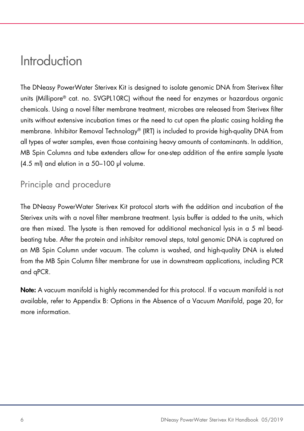### <span id="page-5-0"></span>Introduction

The DNeasy PowerWater Sterivex Kit is designed to isolate genomic DNA from Sterivex filter units (Millipore® cat. no. SVGPL10RC) without the need for enzymes or hazardous organic chemicals. Using a novel filter membrane treatment, microbes are released from Sterivex filter units without extensive incubation times or the need to cut open the plastic casing holding the membrane. Inhibitor Removal Technology® (IRT) is included to provide high-quality DNA from all types of water samples, even those containing heavy amounts of contaminants. In addition, MB Spin Columns and tube extenders allow for one-step addition of the entire sample lysate (4.5 ml) and elution in a 50–100 µl volume.

#### <span id="page-5-1"></span>Principle and procedure

The DNeasy PowerWater Sterivex Kit protocol starts with the addition and incubation of the Sterivex units with a novel filter membrane treatment. Lysis buffer is added to the units, which are then mixed. The lysate is then removed for additional mechanical lysis in a 5 ml beadbeating tube. After the protein and inhibitor removal steps, total genomic DNA is captured on an MB Spin Column under vacuum. The column is washed, and high-quality DNA is eluted from the MB Spin Column filter membrane for use in downstream applications, including PCR and qPCR.

Note: A vacuum manifold is highly recommended for this protocol. If a vacuum manifold is not available, refer to Appendix B: Options in the Absence of a Vacuum Manifold, page [20,](#page-19-0) for more information.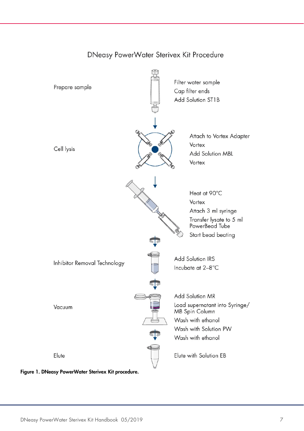

#### DNeasy PowerWater Sterivex Kit Procedure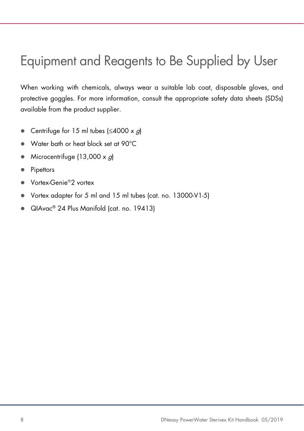# <span id="page-7-0"></span>Equipment and Reagents to Be Supplied by User

When working with chemicals, always wear a suitable lab coat, disposable gloves, and protective goggles. For more information, consult the appropriate safety data sheets (SDSs) available from the product supplier.

- Centrifuge for 15 ml tubes  $\leq 4000 \times g$
- Water bath or heat block set at 90°C
- Microcentrifuge (13,000  $\times$  *g*)
- Pipettors
- Vortex-Genie<sup>®</sup>2 vortex
- Vortex adapter for 5 ml and 15 ml tubes (cat. no. 13000-V1-5)
- QIAvac® 24 Plus Manifold (cat. no. 19413)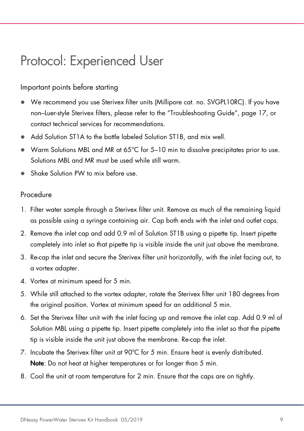### <span id="page-8-0"></span>Protocol: Experienced User

#### Important points before starting

- We recommend you use Sterivex filter units (Millipore cat. no. SVGPL10RC). If you have non–Luer-style Sterivex filters, please refer to the "Troubleshooting Guide", page [17,](#page-16-0) or contact technical services for recommendations.
- Add Solution ST1A to the bottle labeled Solution ST1B, and mix well.
- Warm Solutions MBL and MR at 65°C for 5–10 min to dissolve precipitates prior to use. Solutions MBL and MR must be used while still warm.
- Shake Solution PW to mix before use.

#### Procedure

- 1. Filter water sample through a Sterivex filter unit. Remove as much of the remaining liquid as possible using a syringe containing air. Cap both ends with the inlet and outlet caps.
- 2. Remove the inlet cap and add 0.9 ml of Solution ST1B using a pipette tip. Insert pipette completely into inlet so that pipette tip is visible inside the unit just above the membrane.
- 3. Re-cap the inlet and secure the Sterivex filter unit horizontally, with the inlet facing out, to a vortex adapter.
- 4. Vortex at minimum speed for 5 min.
- 5. While still attached to the vortex adapter, rotate the Sterivex filter unit 180 degrees from the original position. Vortex at minimum speed for an additional 5 min.
- 6. Set the Sterivex filter unit with the inlet facing up and remove the inlet cap. Add 0.9 ml of Solution MBL using a pipette tip. Insert pipette completely into the inlet so that the pipette tip is visible inside the unit just above the membrane. Re-cap the inlet.
- 7. Incubate the Sterivex filter unit at 90ºC for 5 min. Ensure heat is evenly distributed. Note: Do not heat at higher temperatures or for longer than 5 min.
- 8. Cool the unit at room temperature for 2 min. Ensure that the caps are on tightly.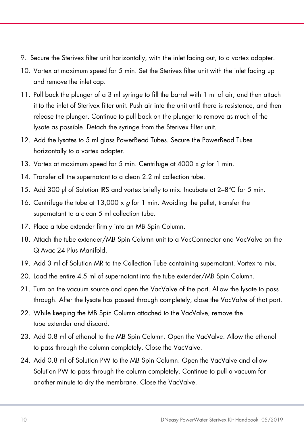- 9. Secure the Sterivex filter unit horizontally, with the inlet facing out, to a vortex adapter.
- 10. Vortex at maximum speed for 5 min. Set the Sterivex filter unit with the inlet facing up and remove the inlet cap.
- 11. Pull back the plunger of a 3 ml syringe to fill the barrel with 1 ml of air, and then attach it to the inlet of Sterivex filter unit. Push air into the unit until there is resistance, and then release the plunger. Continue to pull back on the plunger to remove as much of the lysate as possible. Detach the syringe from the Sterivex filter unit.
- 12. Add the lysates to 5 ml glass PowerBead Tubes. Secure the PowerBead Tubes horizontally to a vortex adapter.
- 13. Vortex at maximum speed for 5 min. Centrifuge at 4000  $\times$  *a* for 1 min.
- 14. Transfer all the supernatant to a clean 2.2 ml collection tube.
- 15. Add 300 µl of Solution IRS and vortex briefly to mix. Incubate at 2-8°C for 5 min.
- 16. Centrifuge the tube at 13,000  $\times$  g for 1 min. Avoiding the pellet, transfer the supernatant to a clean 5 ml collection tube.
- 17. Place a tube extender firmly into an MB Spin Column.
- 18. Attach the tube extender/MB Spin Column unit to a VacConnector and VacValve on the QIAvac 24 Plus Manifold.
- 19. Add 3 ml of Solution MR to the Collection Tube containing supernatant. Vortex to mix.
- 20. Load the entire 4.5 ml of supernatant into the tube extender/MB Spin Column.
- 21. Turn on the vacuum source and open the VacValve of the port. Allow the lysate to pass through. After the lysate has passed through completely, close the VacValve of that port.
- 22. While keeping the MB Spin Column attached to the VacValve, remove the tube extender and discard.
- 23. Add 0.8 ml of ethanol to the MB Spin Column. Open the VacValve. Allow the ethanol to pass through the column completely. Close the VacValve.
- 24. Add 0.8 ml of Solution PW to the MB Spin Column. Open the VacValve and allow Solution PW to pass through the column completely. Continue to pull a vacuum for another minute to dry the membrane. Close the VacValve.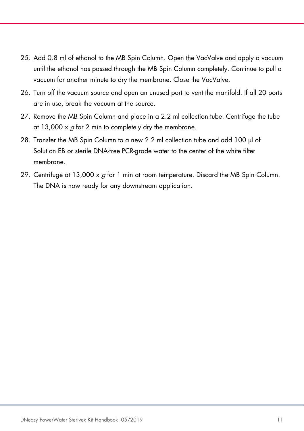- 25. Add 0.8 ml of ethanol to the MB Spin Column. Open the VacValve and apply a vacuum until the ethanol has passed through the MB Spin Column completely. Continue to pull a vacuum for another minute to dry the membrane. Close the VacValve.
- 26. Turn off the vacuum source and open an unused port to vent the manifold. If all 20 ports are in use, break the vacuum at the source.
- 27. Remove the MB Spin Column and place in a 2.2 ml collection tube. Centrifuge the tube at 13,000  $\times$  g for 2 min to completely dry the membrane.
- 28. Transfer the MB Spin Column to a new 2.2 ml collection tube and add 100 ul of Solution EB or sterile DNA-free PCR-grade water to the center of the white filter membrane.
- 29. Centrifuge at  $13,000 \times g$  for 1 min at room temperature. Discard the MB Spin Column. The DNA is now ready for any downstream application.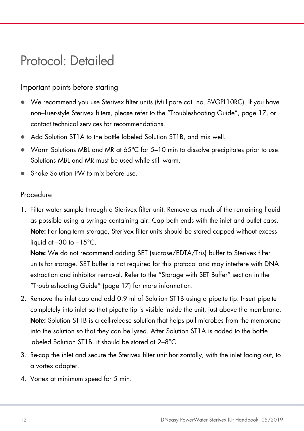### <span id="page-11-0"></span>Protocol: Detailed

#### Important points before starting

- We recommend you use Sterivex filter units (Millipore cat. no. SVGPL10RC). If you have non–Luer-style Sterivex filters, please refer to the "Troubleshooting Guide", page [17,](#page-16-0) or contact technical services for recommendations.
- Add Solution ST1A to the bottle labeled Solution ST1B, and mix well.
- Warm Solutions MBL and MR at 65°C for 5–10 min to dissolve precipitates prior to use. Solutions MBL and MR must be used while still warm.
- Shake Solution PW to mix before use.

#### Procedure

1. Filter water sample through a Sterivex filter unit. Remove as much of the remaining liquid as possible using a syringe containing air. Cap both ends with the inlet and outlet caps. Note: For long-term storage, Sterivex filter units should be stored capped without excess liquid at  $-30$  to  $-15^{\circ}$ C.

Note: We do not recommend adding SET (sucrose/EDTA/Tris) buffer to Sterivex filter units for storage. SET buffer is not required for this protocol and may interfere with DNA extraction and inhibitor removal. Refer to the "Storage with SET Buffer" section in the "Troubleshooting Guide" (page [17\)](#page-16-1) for more information.

- 2. Remove the inlet cap and add 0.9 ml of Solution ST1B using a pipette tip. Insert pipette completely into inlet so that pipette tip is visible inside the unit, just above the membrane. Note: Solution ST1B is a cell-release solution that helps pull microbes from the membrane into the solution so that they can be lysed. After Solution ST1A is added to the bottle labeled Solution ST1B, it should be stored at 2–8°C.
- 3. Re-cap the inlet and secure the Sterivex filter unit horizontally, with the inlet facing out, to a vortex adapter.
- 4. Vortex at minimum speed for 5 min.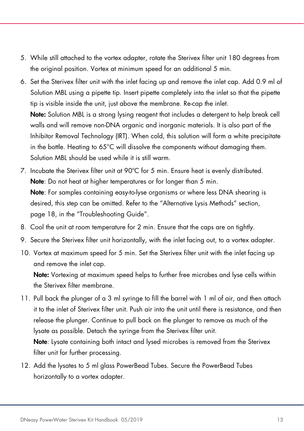- 5. While still attached to the vortex adapter, rotate the Sterivex filter unit 180 degrees from the original position. Vortex at minimum speed for an additional 5 min.
- 6. Set the Sterivex filter unit with the inlet facing up and remove the inlet cap. Add 0.9 ml of Solution MBL using a pipette tip. Insert pipette completely into the inlet so that the pipette tip is visible inside the unit, just above the membrane. Re-cap the inlet. Note: Solution MBL is a strong lysing reagent that includes a detergent to help break cell walls and will remove non-DNA organic and inorganic materials. It is also part of the Inhibitor Removal Technology (IRT). When cold, this solution will form a white precipitate in the bottle. Heating to 65°C will dissolve the components without damaging them. Solution MBL should be used while it is still warm.
- 7. Incubate the Sterivex filter unit at 90ºC for 5 min. Ensure heat is evenly distributed. Note: Do not heat at higher temperatures or for longer than 5 min. Note: For samples containing easy-to-lyse organisms or where less DNA shearing is desired, this step can be omitted. Refer to the "Alternative Lysis Methods" section, page [18,](#page-17-0) in the "Troubleshooting Guide".
- 8. Cool the unit at room temperature for 2 min. Ensure that the caps are on tightly.
- 9. Secure the Sterivex filter unit horizontally, with the inlet facing out, to a vortex adapter.
- 10. Vortex at maximum speed for 5 min. Set the Sterivex filter unit with the inlet facing up and remove the inlet cap.

Note: Vortexing at maximum speed helps to further free microbes and lyse cells within the Sterivex filter membrane.

- 11. Pull back the plunger of a 3 ml syringe to fill the barrel with 1 ml of air, and then attach it to the inlet of Sterivex filter unit. Push air into the unit until there is resistance, and then release the plunger. Continue to pull back on the plunger to remove as much of the lysate as possible. Detach the syringe from the Sterivex filter unit. Note: Lysate containing both intact and lysed microbes is removed from the Sterivex filter unit for further processing.
- 12. Add the lysates to 5 ml glass PowerBead Tubes. Secure the PowerBead Tubes horizontally to a vortex adapter.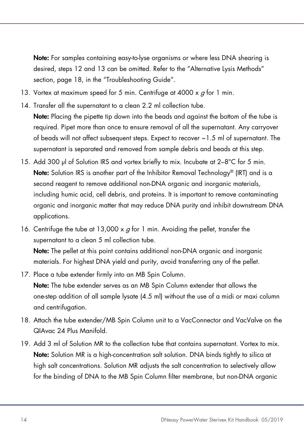Note: For samples containing easy-to-lyse organisms or where less DNA shearing is desired, steps 12 and 13 can be omitted. Refer to the "Alternative Lysis Methods" section, page [18,](#page-17-0) in the "Troubleshooting Guide".

- 13. Vortex at maximum speed for 5 min. Centrifuge at 4000  $\times$  q for 1 min.
- 14. Transfer all the supernatant to a clean 2.2 ml collection tube. Note: Placing the pipette tip down into the beads and against the bottom of the tube is required. Pipet more than once to ensure removal of all the supernatant. Any carryover of beads will not affect subsequent steps. Expect to recover ~1.5 ml of supernatant. The supernatant is separated and removed from sample debris and beads at this step.
- 15. Add 300 µl of Solution IRS and vortex briefly to mix. Incubate at 2–8°C for 5 min. Note: Solution IRS is another part of the Inhibitor Removal Technology® (IRT) and is a second reagent to remove additional non-DNA organic and inorganic materials, including humic acid, cell debris, and proteins. It is important to remove contaminating organic and inorganic matter that may reduce DNA purity and inhibit downstream DNA applications.
- 16. Centrifuge the tube at 13,000  $\times$  *a* for 1 min. Avoiding the pellet, transfer the supernatant to a clean 5 ml collection tube.

Note: The pellet at this point contains additional non-DNA organic and inorganic materials. For highest DNA yield and purity, avoid transferring any of the pellet.

- 17. Place a tube extender firmly into an MB Spin Column. Note: The tube extender serves as an MB Spin Column extender that allows the one-step addition of all sample lysate (4.5 ml) without the use of a midi or maxi column and centrifugation.
- 18. Attach the tube extender/MB Spin Column unit to a VacConnector and VacValve on the QIAvac 24 Plus Manifold.
- 19. Add 3 ml of Solution MR to the collection tube that contains supernatant. Vortex to mix. Note: Solution MR is a high-concentration salt solution. DNA binds tightly to silica at high salt concentrations. Solution MR adjusts the salt concentration to selectively allow for the binding of DNA to the MB Spin Column filter membrane, but non-DNA organic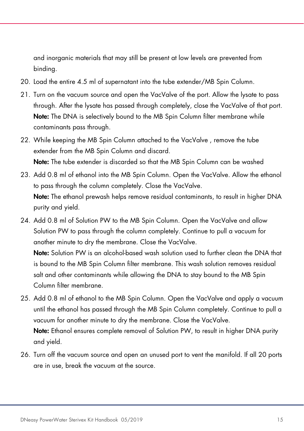and inorganic materials that may still be present at low levels are prevented from binding.

- 20. Load the entire 4.5 ml of supernatant into the tube extender/MB Spin Column.
- 21. Turn on the vacuum source and open the VacValve of the port. Allow the lysate to pass through. After the lysate has passed through completely, close the VacValve of that port. Note: The DNA is selectively bound to the MB Spin Column filter membrane while contaminants pass through.
- 22. While keeping the MB Spin Column attached to the VacValve , remove the tube extender from the MB Spin Column and discard. Note: The tube extender is discarded so that the MB Spin Column can be washed
- 23. Add 0.8 ml of ethanol into the MB Spin Column. Open the VacValve. Allow the ethanol to pass through the column completely. Close the VacValve. Note: The ethanol prewash helps remove residual contaminants, to result in higher DNA purity and yield.
- 24. Add 0.8 ml of Solution PW to the MB Spin Column. Open the VacValve and allow Solution PW to pass through the column completely. Continue to pull a vacuum for another minute to dry the membrane. Close the VacValve. Note: Solution PW is an alcohol-based wash solution used to further clean the DNA that is bound to the MB Spin Column filter membrane. This wash solution removes residual salt and other contaminants while allowing the DNA to stay bound to the MB Spin Column filter membrane.
- 25. Add 0.8 ml of ethanol to the MB Spin Column. Open the VacValve and apply a vacuum until the ethanol has passed through the MB Spin Column completely. Continue to pull a vacuum for another minute to dry the membrane. Close the VacValve. Note: Ethanol ensures complete removal of Solution PW, to result in higher DNA purity and yield.
- 26. Turn off the vacuum source and open an unused port to vent the manifold. If all 20 ports are in use, break the vacuum at the source.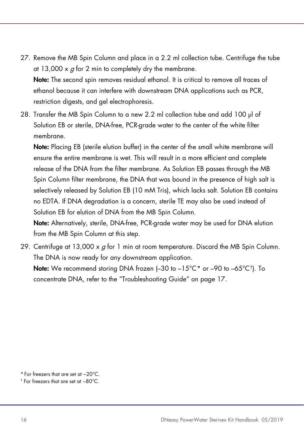- 27. Remove the MB Spin Column and place in a 2.2 ml collection tube. Centrifuge the tube at 13,000  $\times$  q for 2 min to completely dry the membrane. Note: The second spin removes residual ethanol. It is critical to remove all traces of ethanol because it can interfere with downstream DNA applications such as PCR, restriction digests, and gel electrophoresis.
- 28. Transfer the MB Spin Column to a new 2.2 ml collection tube and add 100 µl of Solution EB or sterile, DNA-free, PCR-grade water to the center of the white filter membrane.

Note: Placing EB (sterile elution buffer) in the center of the small white membrane will ensure the entire membrane is wet. This will result in a more efficient and complete release of the DNA from the filter membrane. As Solution EB passes through the MB Spin Column filter membrane, the DNA that was bound in the presence of high salt is selectively released by Solution EB (10 mM Tris), which lacks salt. Solution EB contains no EDTA. If DNA degradation is a concern, sterile TE may also be used instead of Solution EB for elution of DNA from the MB Spin Column.

Note: Alternatively, sterile, DNA-free, PCR-grade water may be used for DNA elution from the MB Spin Column at this step.

29. Centrifuge at 13,000  $\times g$  for 1 min at room temperature. Discard the MB Spin Column. The DNA is now ready for any downstream application.

Note: We recommend storing DNA frozen (-30 to -15°C<sup>[\\*](#page-15-0)</sup> or -90 to -65°C<sup>†</sup>). To concentrate DNA, refer to the "Troubleshooting Guide" on page [17.](#page-16-0)

<span id="page-15-0"></span><sup>\*</sup> For freezers that are set at −20°C.

<span id="page-15-1"></span><sup>†</sup> For freezers that are set at −80°C.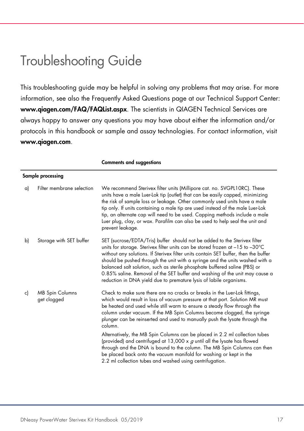### <span id="page-16-0"></span>Troubleshooting Guide

This troubleshooting guide may be helpful in solving any problems that may arise. For more information, see also the Frequently Asked Questions page at our Technical Support Center: www.qiagen.com/FAQ/FAQList.aspx. The scientists in QIAGEN Technical Services are always happy to answer any questions you may have about either the information and/or protocols in this handbook or sample and assay technologies. For contact information, visit www.qiagen.com.

<span id="page-16-1"></span>

|    | Sample processing                     |                                                                                                                                                                                                                                                                                                                                                                                                                                                                                                                                                                                  |  |
|----|---------------------------------------|----------------------------------------------------------------------------------------------------------------------------------------------------------------------------------------------------------------------------------------------------------------------------------------------------------------------------------------------------------------------------------------------------------------------------------------------------------------------------------------------------------------------------------------------------------------------------------|--|
| a) | Filter membrane selection             | We recommend Sterivex filter units (Millipore cat. no. SVGPL10RC). These<br>units have a male Luer-Lok tip (outlet) that can be easily capped, minimizing<br>the risk of sample loss or leakage. Other commonly used units have a male<br>tip only. If units containing a male tip are used instead of the male Luer-Lok<br>tip, an alternate cap will need to be used. Capping methods include a male<br>Luer plug, clay, or wax. Parafilm can also be used to help seal the unit and<br>prevent leakage.                                                                       |  |
| b) | Storage with SET buffer               | SET (sucrose/EDTA/Tris) buffer should not be added to the Sterivex filter<br>units for storage. Sterivex filter units can be stored frozen at $-15$ to $-30^{\circ}$ C<br>without any solutions. If Sterivex filter units contain SET buffer, then the buffer<br>should be pushed through the unit with a syringe and the units washed with a<br>balanced salt solution, such as sterile phosphate buffered saline (PBS) or<br>0.85% saline. Removal of the SET buffer and washing of the unit may cause a<br>reduction in DNA yield due to premature lysis of labile organisms. |  |
| c) | <b>MB Spin Columns</b><br>get clogged | Check to make sure there are no cracks or breaks in the Luer-Lok fittings,<br>which would result in loss of vacuum pressure at that port. Solution MR must<br>be heated and used while still warm to ensure a steady flow through the<br>column under vacuum. If the MB Spin Columns become clogged, the syringe<br>plunger can be reinserted and used to manually push the lysate through the<br>column.                                                                                                                                                                        |  |
|    |                                       | Alternatively, the MB Spin Columns can be placed in 2.2 ml collection tubes<br>(provided) and centrifuged at 13,000 $\times$ g until all the lysate has flowed<br>through and the DNA is bound to the column. The MB Spin Columns can then<br>be placed back onto the vacuum manifold for washing or kept in the<br>2.2 ml collection tubes and washed using centrifugation.                                                                                                                                                                                                     |  |

#### Comments and suggestions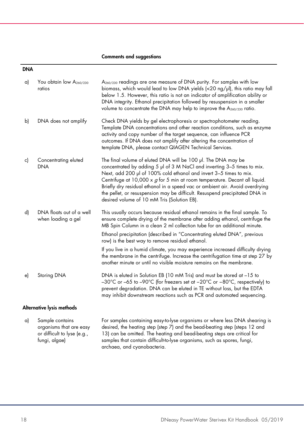#### Comments and suggestions

#### DNA

| a) | You obtain low A260/230<br>ratios                                         | A <sub>260/230</sub> readings are one measure of DNA purity. For samples with low<br>biomass, which would lead to low DNA yields $\langle$ <20 ng/ $\mu$ l), this ratio may fall<br>below 1.5. However, this ratio is not an indicator of amplification ability or<br>DNA integrity. Ethanol precipitation followed by resuspension in a smaller<br>volume to concentrate the DNA may help to improve the A260/230 ratio.                                                                                    |  |
|----|---------------------------------------------------------------------------|--------------------------------------------------------------------------------------------------------------------------------------------------------------------------------------------------------------------------------------------------------------------------------------------------------------------------------------------------------------------------------------------------------------------------------------------------------------------------------------------------------------|--|
| b) | DNA does not amplify                                                      | Check DNA yields by gel electrophoresis or spectrophotometer reading.<br>Template DNA concentrations and other reaction conditions, such as enzyme<br>activity and copy number of the target sequence, can influence PCR<br>outcomes. If DNA does not amplify after altering the concentration of<br>template DNA, please contact QIAGEN Technical Services.                                                                                                                                                 |  |
| c) | Concentrating eluted<br><b>DNA</b>                                        | The final volume of eluted DNA will be 100 µl. The DNA may be<br>concentrated by adding 5 µl of 3 M NaCl and inverting 3-5 times to mix.<br>Next, add 200 µl of 100% cold ethanol and invert 3-5 times to mix.<br>Centrifuge at 10,000 x $g$ for 5 min at room temperature. Decant all liquid.<br>Briefly dry residual ethanol in a speed vac or ambient air. Avoid overdrying<br>the pellet, or resuspension may be difficult. Resuspend precipitated DNA in<br>desired volume of 10 mM Tris (Solution EB). |  |
| d) | DNA floats out of a well<br>when loading a gel                            | This usually occurs because residual ethanol remains in the final sample. To<br>ensure complete drying of the membrane after adding ethanol, centrifuge the<br>MB Spin Column in a clean 2 ml collection tube for an additional minute.<br>Ethanol precipitation (described in "Concentrating eluted DNA", previous                                                                                                                                                                                          |  |
|    |                                                                           | row) is the best way to remove residual ethanol.<br>If you live in a humid climate, you may experience increased difficulty drying<br>the membrane in the centrifuge. Increase the centrifugation time at step 27 by<br>another minute or until no visible moisture remains on the membrane.                                                                                                                                                                                                                 |  |
| e) | Storing DNA                                                               | DNA is eluted in Solution EB (10 mM Tris) and must be stored at -15 to<br>-30°C or -65 to -90°C (for freezers set at -20°C or -80°C, respectively) to<br>prevent degradation. DNA can be eluted in TE without loss, but the EDTA<br>may inhibit downstream reactions such as PCR and automated sequencing.                                                                                                                                                                                                   |  |
|    | Alternative lysis methods                                                 |                                                                                                                                                                                                                                                                                                                                                                                                                                                                                                              |  |
| a) | Sample contains<br>organisms that are easy<br>or difficult to lyse (e.g., | For samples containing easy-to-lyse organisms or where less DNA shearing is<br>desired, the heating step (step 7) and the bead-beating step (steps 12 and<br>13) can be omitted. The heating and bead-beating steps are critical for                                                                                                                                                                                                                                                                         |  |

archaea, and cyanobacteria.

samples that contain difficult-to-lyse organisms, such as spores, fungi,

<span id="page-17-0"></span>fungi, algae)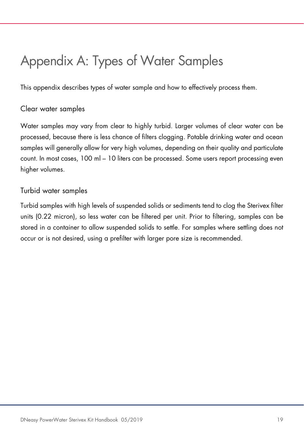# <span id="page-18-0"></span>Appendix A: Types of Water Samples

This appendix describes types of water sample and how to effectively process them.

#### Clear water samples

Water samples may vary from clear to highly turbid. Larger volumes of clear water can be processed, because there is less chance of filters clogging. Potable drinking water and ocean samples will generally allow for very high volumes, depending on their quality and particulate count. In most cases, 100 ml – 10 liters can be processed. Some users report processing even higher volumes.

#### Turbid water samples

Turbid samples with high levels of suspended solids or sediments tend to clog the Sterivex filter units (0.22 micron), so less water can be filtered per unit. Prior to filtering, samples can be stored in a container to allow suspended solids to settle. For samples where settling does not occur or is not desired, using a prefilter with larger pore size is recommended.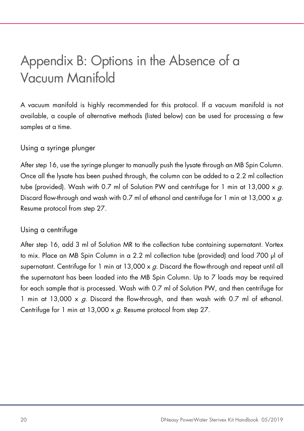# <span id="page-19-0"></span>Appendix B: Options in the Absence of a Vacuum Manifold

A vacuum manifold is highly recommended for this protocol. If a vacuum manifold is not available, a couple of alternative methods (listed below) can be used for processing a few samples at a time.

#### Using a syringe plunger

After step 16, use the syringe plunger to manually push the lysate through an MB Spin Column. Once all the lysate has been pushed through, the column can be added to a 2.2 ml collection tube (provided). Wash with 0.7 ml of Solution PW and centrifuge for 1 min at 13,000  $\times$  g. Discard flow-through and wash with 0.7 ml of ethanol and centrifuge for 1 min at 13,000  $\times$  g. Resume protocol from step 27.

#### <span id="page-19-1"></span>Using a centrifuge

After step 16, add 3 ml of Solution MR to the collection tube containing supernatant. Vortex to mix. Place an MB Spin Column in a 2.2 ml collection tube (provided) and load 700 µl of supernatant. Centrifuge for 1 min at  $13,000 \times g$ . Discard the flow-through and repeat until all the supernatant has been loaded into the MB Spin Column. Up to 7 loads may be required for each sample that is processed. Wash with 0.7 ml of Solution PW, and then centrifuge for 1 min at 13,000  $\times g$ . Discard the flow-through, and then wash with 0.7 ml of ethanol. Centrifuge for 1 min at 13,000 x q. Resume protocol from step 27.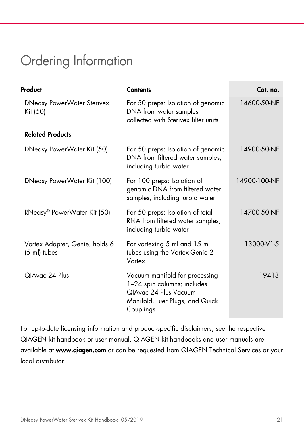### <span id="page-20-0"></span>Ordering Information

| Product                                        | <b>Contents</b>                                                                                                                        | Cat. no.     |
|------------------------------------------------|----------------------------------------------------------------------------------------------------------------------------------------|--------------|
| <b>DNeasy PowerWater Sterivex</b><br>Kit (50)  | For 50 preps: Isolation of genomic<br>DNA from water samples<br>collected with Sterivex filter units                                   | 14600-50-NF  |
| <b>Related Products</b>                        |                                                                                                                                        |              |
| DNeasy PowerWater Kit (50)                     | For 50 preps: Isolation of genomic<br>DNA from filtered water samples,<br>including turbid water                                       | 14900-50-NF  |
| DNeasy PowerWater Kit (100)                    | For 100 preps: Isolation of<br>genomic DNA from filtered water<br>samples, including turbid water                                      | 14900-100-NF |
| RNeasy® PowerWater Kit (50)                    | For 50 preps: Isolation of total<br>RNA from filtered water samples,<br>including turbid water                                         | 14700-50-NF  |
| Vortex Adapter, Genie, holds 6<br>(5 ml) tubes | For vortexing 5 ml and 15 ml<br>tubes using the Vortex-Genie 2<br>Vortex                                                               | 13000-V1-5   |
| QIAvac 24 Plus                                 | Vacuum manifold for processing<br>1-24 spin columns; includes<br>QIAvac 24 Plus Vacuum<br>Manifold, Luer Plugs, and Quick<br>Couplings | 19413        |

For up-to-date licensing information and product-specific disclaimers, see the respective QIAGEN kit handbook or user manual. QIAGEN kit handbooks and user manuals are available at www.qiagen.com or can be requested from QIAGEN Technical Services or your local distributor.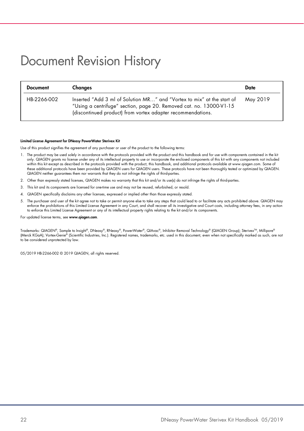### <span id="page-21-0"></span>Document Revision History

| <b>Document</b> | Changes                                                                                                                                                                                                      | Date     |
|-----------------|--------------------------------------------------------------------------------------------------------------------------------------------------------------------------------------------------------------|----------|
| HB-2266-002     | Inserted "Add 3 ml of Solution MR" and "Vortex to mix" at the start of<br>"Using a centrifuge" section, page 20. Removed cat. no. 13000-V1-15<br>(discontinued product) from vortex adapter recommendations. | May 2019 |

#### Limited License Agreement for DNeasy PowerWater Sterivex Kit

Use of this product signifies the agreement of any purchaser or user of the product to the following terms:

- 1. The product may be used solely in accordance with the protocols provided with the product and this handbook and for use with components contained in the kit only. QIAGEN grants no license under any of its intellectual property to use or incorporate the enclosed components of this kit with any components not included within this kit except as described in the protocols provided with the product, this handbook, and additional protocols available at www.qiagen.com. Some ot<br>these additional protocols have been provided by QIAGEN users. To QIAGEN neither guarantees them nor warrants that they do not infringe the rights of third-parties.
- 2. Other than expressly stated licenses, QIAGEN makes no warranty that this kit and/or its use(s) do not infringe the rights of third-parties.
- 3. This kit and its components are licensed for one-time use and may not be reused, refurbished, or resold.
- 4. QIAGEN specifically disclaims any other licenses, expressed or implied other than those expressly stated.
- 5. The purchaser and user of the kit agree not to take or permit anyone else to take any steps that could lead to or facilitate any acts prohibited above. QIAGEN may enforce the prohibitions of this Limited License Agreement in any Court, and shall recover all its investigative and Court costs, including attorney fees, in any action to enforce this Limited License Agreement or any of its intellectual property rights relating to the kit and/or its components.

#### For updated license terms, see [www.qiagen.com](http://www.qiagen.com/).

Trademarks: QIAGEN®, Sample to Insight®, DNeasy®, RNeasy®, PowerWater®, QIAvac®, Inhibitor Removal Technology® (QIAGEN Group); SterivexTM, Millipore® (Merck KGaA); Vortex-Genie® (Scientific Industries, Inc.). Registered names, trademarks, etc. used in this document, even when not specifically marked as such, are not to be considered unprotected by law.

05/2019 HB-2266-002 © 2019 QIAGEN, all rights reserved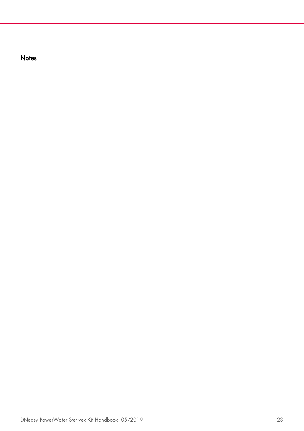**Notes**